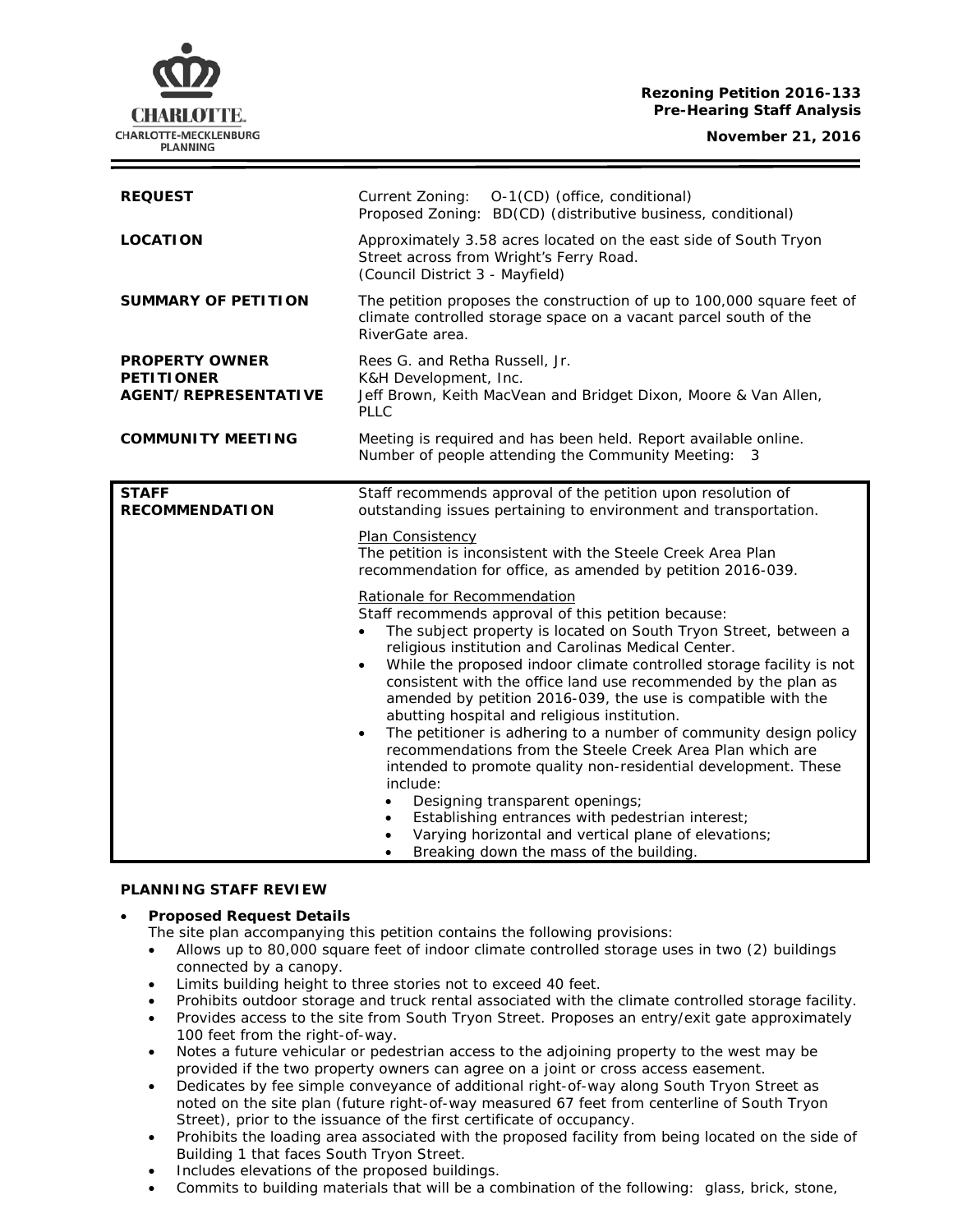## **Rezoning Petition 2016-133 Pre-Hearing Staff Analysis**

**November 21, 2016**



| <b>REQUEST</b>                                                            | Current Zoning: O-1(CD) (office, conditional)<br>Proposed Zoning: BD(CD) (distributive business, conditional)                                                                                                                                                                                                                                                                                                                                                                                                                                                                                                                                                                                                                                                                                                                                                                                            |
|---------------------------------------------------------------------------|----------------------------------------------------------------------------------------------------------------------------------------------------------------------------------------------------------------------------------------------------------------------------------------------------------------------------------------------------------------------------------------------------------------------------------------------------------------------------------------------------------------------------------------------------------------------------------------------------------------------------------------------------------------------------------------------------------------------------------------------------------------------------------------------------------------------------------------------------------------------------------------------------------|
| <b>LOCATION</b>                                                           | Approximately 3.58 acres located on the east side of South Tryon<br>Street across from Wright's Ferry Road.<br>(Council District 3 - Mayfield)                                                                                                                                                                                                                                                                                                                                                                                                                                                                                                                                                                                                                                                                                                                                                           |
| <b>SUMMARY OF PETITION</b>                                                | The petition proposes the construction of up to 100,000 square feet of<br>climate controlled storage space on a vacant parcel south of the<br>RiverGate area.                                                                                                                                                                                                                                                                                                                                                                                                                                                                                                                                                                                                                                                                                                                                            |
| <b>PROPERTY OWNER</b><br><b>PETITIONER</b><br><b>AGENT/REPRESENTATIVE</b> | Rees G. and Retha Russell, Jr.<br>K&H Development, Inc.<br>Jeff Brown, Keith MacVean and Bridget Dixon, Moore & Van Allen,<br><b>PLLC</b>                                                                                                                                                                                                                                                                                                                                                                                                                                                                                                                                                                                                                                                                                                                                                                |
| <b>COMMUNITY MEETING</b>                                                  | Meeting is required and has been held. Report available online.<br>Number of people attending the Community Meeting: 3                                                                                                                                                                                                                                                                                                                                                                                                                                                                                                                                                                                                                                                                                                                                                                                   |
| <b>STAFF</b><br><b>RECOMMENDATION</b>                                     | Staff recommends approval of the petition upon resolution of<br>outstanding issues pertaining to environment and transportation.<br>Plan Consistency<br>The petition is inconsistent with the Steele Creek Area Plan<br>recommendation for office, as amended by petition 2016-039.                                                                                                                                                                                                                                                                                                                                                                                                                                                                                                                                                                                                                      |
|                                                                           | Rationale for Recommendation<br>Staff recommends approval of this petition because:<br>The subject property is located on South Tryon Street, between a<br>religious institution and Carolinas Medical Center.<br>While the proposed indoor climate controlled storage facility is not<br>$\bullet$<br>consistent with the office land use recommended by the plan as<br>amended by petition 2016-039, the use is compatible with the<br>abutting hospital and religious institution.<br>The petitioner is adhering to a number of community design policy<br>$\bullet$<br>recommendations from the Steele Creek Area Plan which are<br>intended to promote quality non-residential development. These<br>include:<br>Designing transparent openings;<br>$\bullet$<br>Establishing entrances with pedestrian interest;<br>$\bullet$<br>Varying horizontal and vertical plane of elevations;<br>$\bullet$ |

• Breaking down the mass of the building.

# **PLANNING STAFF REVIEW**

## • **Proposed Request Details**

The site plan accompanying this petition contains the following provisions:

- Allows up to 80,000 square feet of indoor climate controlled storage uses in two (2) buildings connected by a canopy.
- Limits building height to three stories not to exceed 40 feet.
- Prohibits outdoor storage and truck rental associated with the climate controlled storage facility.
- Provides access to the site from South Tryon Street. Proposes an entry/exit gate approximately 100 feet from the right-of-way.
- Notes a future vehicular or pedestrian access to the adjoining property to the west may be provided if the two property owners can agree on a joint or cross access easement.
- Dedicates by fee simple conveyance of additional right-of-way along South Tryon Street as noted on the site plan (future right-of-way measured 67 feet from centerline of South Tryon Street), prior to the issuance of the first certificate of occupancy.
- Prohibits the loading area associated with the proposed facility from being located on the side of Building 1 that faces South Tryon Street.
- Includes elevations of the proposed buildings.
- Commits to building materials that will be a combination of the following: glass, brick, stone,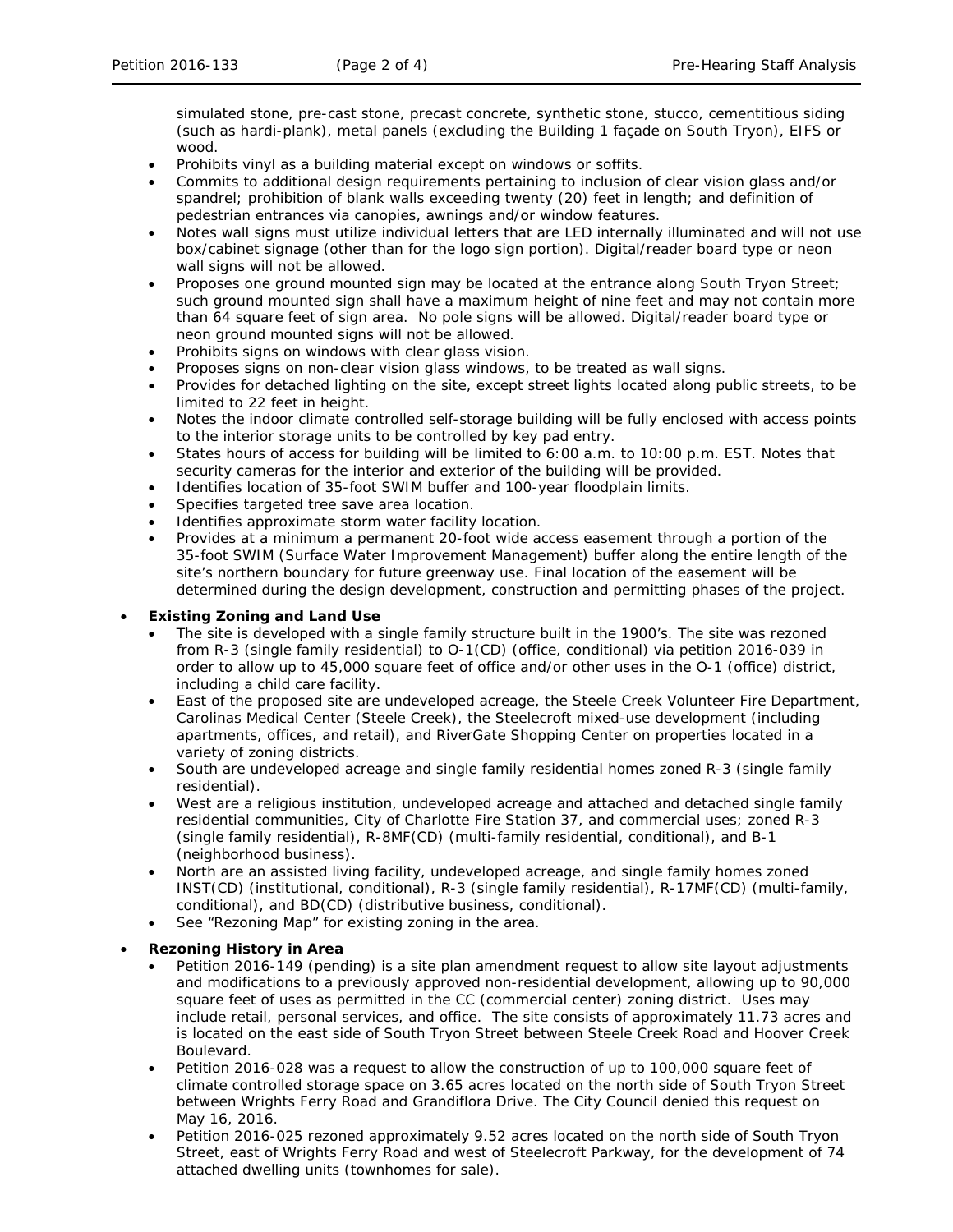simulated stone, pre-cast stone, precast concrete, synthetic stone, stucco, cementitious siding (such as hardi-plank), metal panels (excluding the Building 1 façade on South Tryon), EIFS or wood.

- Prohibits vinyl as a building material except on windows or soffits.
- Commits to additional design requirements pertaining to inclusion of clear vision glass and/or spandrel; prohibition of blank walls exceeding twenty (20) feet in length; and definition of pedestrian entrances via canopies, awnings and/or window features.
- Notes wall signs must utilize individual letters that are LED internally illuminated and will not use box/cabinet signage (other than for the logo sign portion). Digital/reader board type or neon wall signs will not be allowed.
- Proposes one ground mounted sign may be located at the entrance along South Tryon Street; such ground mounted sign shall have a maximum height of nine feet and may not contain more than 64 square feet of sign area. No pole signs will be allowed. Digital/reader board type or neon ground mounted signs will not be allowed.
- Prohibits signs on windows with clear glass vision.
- Proposes signs on non-clear vision glass windows, to be treated as wall signs.
- Provides for detached lighting on the site, except street lights located along public streets, to be limited to 22 feet in height.
- Notes the indoor climate controlled self-storage building will be fully enclosed with access points to the interior storage units to be controlled by key pad entry.
- States hours of access for building will be limited to 6:00 a.m. to 10:00 p.m. EST. Notes that security cameras for the interior and exterior of the building will be provided.
- Identifies location of 35-foot SWIM buffer and 100-year floodplain limits.
- Specifies targeted tree save area location.
- Identifies approximate storm water facility location.
- Provides at a minimum a permanent 20-foot wide access easement through a portion of the 35-foot SWIM (Surface Water Improvement Management) buffer along the entire length of the site's northern boundary for future greenway use. Final location of the easement will be determined during the design development, construction and permitting phases of the project.

### • **Existing Zoning and Land Use**

- The site is developed with a single family structure built in the 1900's. The site was rezoned from R-3 (single family residential) to O-1(CD) (office, conditional) via petition 2016-039 in order to allow up to 45,000 square feet of office and/or other uses in the O-1 (office) district, including a child care facility.
- East of the proposed site are undeveloped acreage, the Steele Creek Volunteer Fire Department, Carolinas Medical Center (Steele Creek), the Steelecroft mixed-use development (including apartments, offices, and retail), and RiverGate Shopping Center on properties located in a variety of zoning districts.
- South are undeveloped acreage and single family residential homes zoned R-3 (single family residential).
- West are a religious institution, undeveloped acreage and attached and detached single family residential communities, City of Charlotte Fire Station 37, and commercial uses; zoned R-3 (single family residential), R-8MF(CD) (multi-family residential, conditional), and B-1 (neighborhood business).
- North are an assisted living facility, undeveloped acreage, and single family homes zoned INST(CD) (institutional, conditional), R-3 (single family residential), R-17MF(CD) (multi-family, conditional), and BD(CD) (distributive business, conditional).
- See "Rezoning Map" for existing zoning in the area.

## • **Rezoning History in Area**

- Petition 2016-149 (pending) is a site plan amendment request to allow site layout adjustments and modifications to a previously approved non-residential development, allowing up to 90,000 square feet of uses as permitted in the CC (commercial center) zoning district. Uses may include retail, personal services, and office. The site consists of approximately 11.73 acres and is located on the east side of South Tryon Street between Steele Creek Road and Hoover Creek Boulevard.
- Petition 2016-028 was a request to allow the construction of up to 100,000 square feet of climate controlled storage space on 3.65 acres located on the north side of South Tryon Street between Wrights Ferry Road and Grandiflora Drive. The City Council denied this request on May 16, 2016.
- Petition 2016-025 rezoned approximately 9.52 acres located on the north side of South Tryon Street, east of Wrights Ferry Road and west of Steelecroft Parkway, for the development of 74 attached dwelling units (townhomes for sale).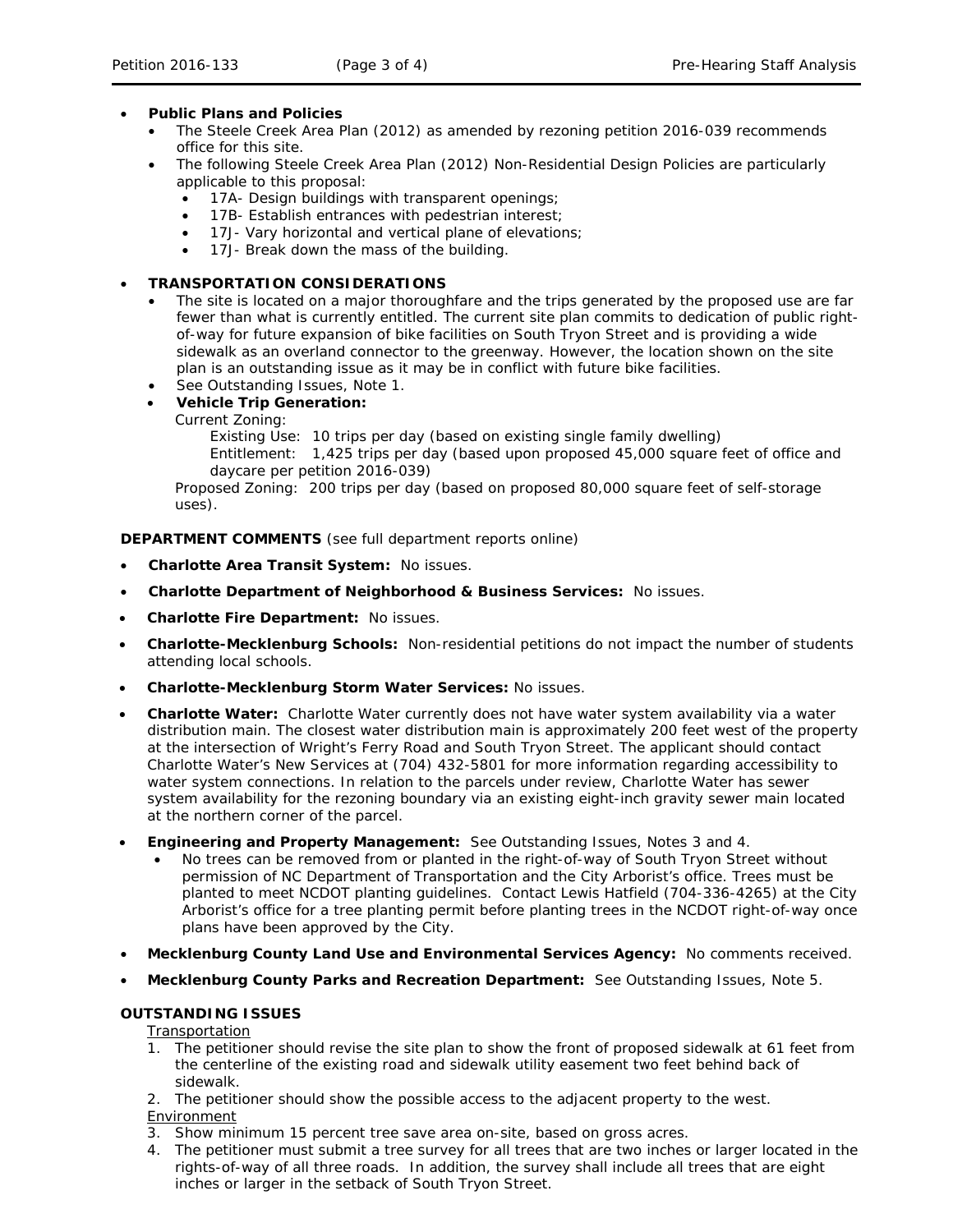## • **Public Plans and Policies**

- The *Steele Creek Area Plan* (2012) as amended by rezoning petition 2016-039 recommends office for this site.
- The following Steele Creek Area Plan (2012) Non-Residential Design Policies are particularly applicable to this proposal:
	- 17A- Design buildings with transparent openings;
	- 17B- Establish entrances with pedestrian interest;
	- 17J- Vary horizontal and vertical plane of elevations;
	- 17J- Break down the mass of the building.

## • **TRANSPORTATION CONSIDERATIONS**

- The site is located on a major thoroughfare and the trips generated by the proposed use are far fewer than what is currently entitled. The current site plan commits to dedication of public rightof-way for future expansion of bike facilities on South Tryon Street and is providing a wide sidewalk as an overland connector to the greenway. However, the location shown on the site plan is an outstanding issue as it may be in conflict with future bike facilities.
- See Outstanding Issues, Note 1.

• **Vehicle Trip Generation:**

Current Zoning:

Existing Use: 10 trips per day (based on existing single family dwelling)

Entitlement: 1,425 trips per day (based upon proposed 45,000 square feet of office and daycare per petition 2016-039)

Proposed Zoning: 200 trips per day (based on proposed 80,000 square feet of self-storage uses).

**DEPARTMENT COMMENTS** (see full department reports online)

- **Charlotte Area Transit System:** No issues.
- **Charlotte Department of Neighborhood & Business Services:** No issues.
- **Charlotte Fire Department:** No issues.
- **Charlotte-Mecklenburg Schools:** Non-residential petitions do not impact the number of students attending local schools.
- **Charlotte-Mecklenburg Storm Water Services:** No issues.
- **Charlotte Water:** Charlotte Water currently does not have water system availability via a water distribution main. The closest water distribution main is approximately 200 feet west of the property at the intersection of Wright's Ferry Road and South Tryon Street. The applicant should contact Charlotte Water's New Services at (704) 432-5801 for more information regarding accessibility to water system connections. In relation to the parcels under review, Charlotte Water has sewer system availability for the rezoning boundary via an existing eight-inch gravity sewer main located at the northern corner of the parcel.
- **Engineering and Property Management:** See Outstanding Issues, Notes 3 and 4.
	- No trees can be removed from or planted in the right-of-way of South Tryon Street without permission of NC Department of Transportation and the City Arborist's office. Trees must be planted to meet NCDOT planting guidelines. Contact Lewis Hatfield (704-336-4265) at the City Arborist's office for a tree planting permit before planting trees in the NCDOT right-of-way once plans have been approved by the City.
- **Mecklenburg County Land Use and Environmental Services Agency:** No comments received.
- **Mecklenburg County Parks and Recreation Department:** See Outstanding Issues, Note 5.

## **OUTSTANDING ISSUES**

**Transportation** 

- 1. The petitioner should revise the site plan to show the front of proposed sidewalk at 61 feet from the centerline of the existing road and sidewalk utility easement two feet behind back of sidewalk.
- 2. The petitioner should show the possible access to the adjacent property to the west. Environment
- 3. Show minimum 15 percent tree save area on-site, based on gross acres.
- 4. The petitioner must submit a tree survey for all trees that are two inches or larger located in the rights-of-way of all three roads. In addition, the survey shall include all trees that are eight inches or larger in the setback of South Tryon Street.